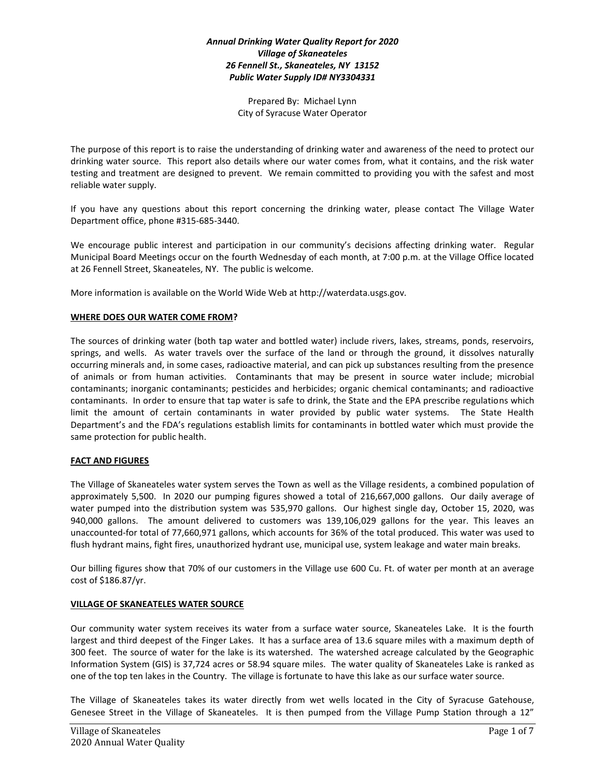## *Annual Drinking Water Quality Report for 2020 Village of Skaneateles 26 Fennell St., Skaneateles, NY 13152 Public Water Supply ID# NY3304331*

Prepared By: Michael Lynn City of Syracuse Water Operator

The purpose of this report is to raise the understanding of drinking water and awareness of the need to protect our drinking water source. This report also details where our water comes from, what it contains, and the risk water testing and treatment are designed to prevent. We remain committed to providing you with the safest and most reliable water supply.

If you have any questions about this report concerning the drinking water, please contact The Village Water Department office, phone #315-685-3440.

We encourage public interest and participation in our community's decisions affecting drinking water. Regular Municipal Board Meetings occur on the fourth Wednesday of each month, at 7:00 p.m. at the Village Office located at 26 Fennell Street, Skaneateles, NY. The public is welcome.

More information is available on the World Wide Web at http://waterdata.usgs.gov.

#### **WHERE DOES OUR WATER COME FROM?**

The sources of drinking water (both tap water and bottled water) include rivers, lakes, streams, ponds, reservoirs, springs, and wells. As water travels over the surface of the land or through the ground, it dissolves naturally occurring minerals and, in some cases, radioactive material, and can pick up substances resulting from the presence of animals or from human activities. Contaminants that may be present in source water include; microbial contaminants; inorganic contaminants; pesticides and herbicides; organic chemical contaminants; and radioactive contaminants. In order to ensure that tap water is safe to drink, the State and the EPA prescribe regulations which limit the amount of certain contaminants in water provided by public water systems. The State Health Department's and the FDA's regulations establish limits for contaminants in bottled water which must provide the same protection for public health.

## **FACT AND FIGURES**

The Village of Skaneateles water system serves the Town as well as the Village residents, a combined population of approximately 5,500. In 2020 our pumping figures showed a total of 216,667,000 gallons. Our daily average of water pumped into the distribution system was 535,970 gallons. Our highest single day, October 15, 2020, was 940,000 gallons. The amount delivered to customers was 139,106,029 gallons for the year. This leaves an unaccounted-for total of 77,660,971 gallons, which accounts for 36% of the total produced. This water was used to flush hydrant mains, fight fires, unauthorized hydrant use, municipal use, system leakage and water main breaks.

Our billing figures show that 70% of our customers in the Village use 600 Cu. Ft. of water per month at an average cost of \$186.87/yr.

#### **VILLAGE OF SKANEATELES WATER SOURCE**

Our community water system receives its water from a surface water source, Skaneateles Lake. It is the fourth largest and third deepest of the Finger Lakes. It has a surface area of 13.6 square miles with a maximum depth of 300 feet. The source of water for the lake is its watershed. The watershed acreage calculated by the Geographic Information System (GIS) is 37,724 acres or 58.94 square miles. The water quality of Skaneateles Lake is ranked as one of the top ten lakes in the Country. The village is fortunate to have this lake as our surface water source.

The Village of Skaneateles takes its water directly from wet wells located in the City of Syracuse Gatehouse, Genesee Street in the Village of Skaneateles. It is then pumped from the Village Pump Station through a 12"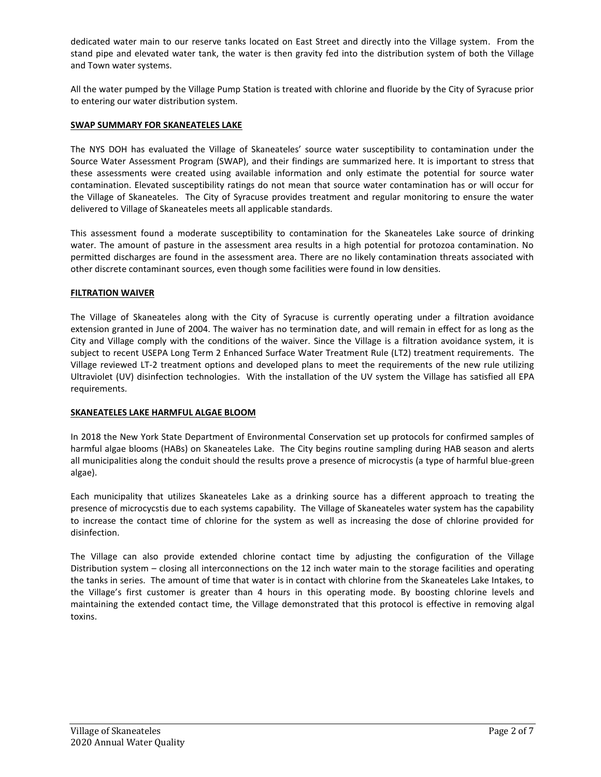dedicated water main to our reserve tanks located on East Street and directly into the Village system. From the stand pipe and elevated water tank, the water is then gravity fed into the distribution system of both the Village and Town water systems.

All the water pumped by the Village Pump Station is treated with chlorine and fluoride by the City of Syracuse prior to entering our water distribution system.

### **SWAP SUMMARY FOR SKANEATELES LAKE**

The NYS DOH has evaluated the Village of Skaneateles' source water susceptibility to contamination under the Source Water Assessment Program (SWAP), and their findings are summarized here. It is important to stress that these assessments were created using available information and only estimate the potential for source water contamination. Elevated susceptibility ratings do not mean that source water contamination has or will occur for the Village of Skaneateles. The City of Syracuse provides treatment and regular monitoring to ensure the water delivered to Village of Skaneateles meets all applicable standards.

This assessment found a moderate susceptibility to contamination for the Skaneateles Lake source of drinking water. The amount of pasture in the assessment area results in a high potential for protozoa contamination. No permitted discharges are found in the assessment area. There are no likely contamination threats associated with other discrete contaminant sources, even though some facilities were found in low densities.

#### **FILTRATION WAIVER**

The Village of Skaneateles along with the City of Syracuse is currently operating under a filtration avoidance extension granted in June of 2004. The waiver has no termination date, and will remain in effect for as long as the City and Village comply with the conditions of the waiver. Since the Village is a filtration avoidance system, it is subject to recent USEPA Long Term 2 Enhanced Surface Water Treatment Rule (LT2) treatment requirements. The Village reviewed LT-2 treatment options and developed plans to meet the requirements of the new rule utilizing Ultraviolet (UV) disinfection technologies. With the installation of the UV system the Village has satisfied all EPA requirements.

## **SKANEATELES LAKE HARMFUL ALGAE BLOOM**

In 2018 the New York State Department of Environmental Conservation set up protocols for confirmed samples of harmful algae blooms (HABs) on Skaneateles Lake. The City begins routine sampling during HAB season and alerts all municipalities along the conduit should the results prove a presence of microcystis (a type of harmful blue-green algae).

Each municipality that utilizes Skaneateles Lake as a drinking source has a different approach to treating the presence of microcycstis due to each systems capability. The Village of Skaneateles water system has the capability to increase the contact time of chlorine for the system as well as increasing the dose of chlorine provided for disinfection.

The Village can also provide extended chlorine contact time by adjusting the configuration of the Village Distribution system – closing all interconnections on the 12 inch water main to the storage facilities and operating the tanks in series. The amount of time that water is in contact with chlorine from the Skaneateles Lake Intakes, to the Village's first customer is greater than 4 hours in this operating mode. By boosting chlorine levels and maintaining the extended contact time, the Village demonstrated that this protocol is effective in removing algal toxins.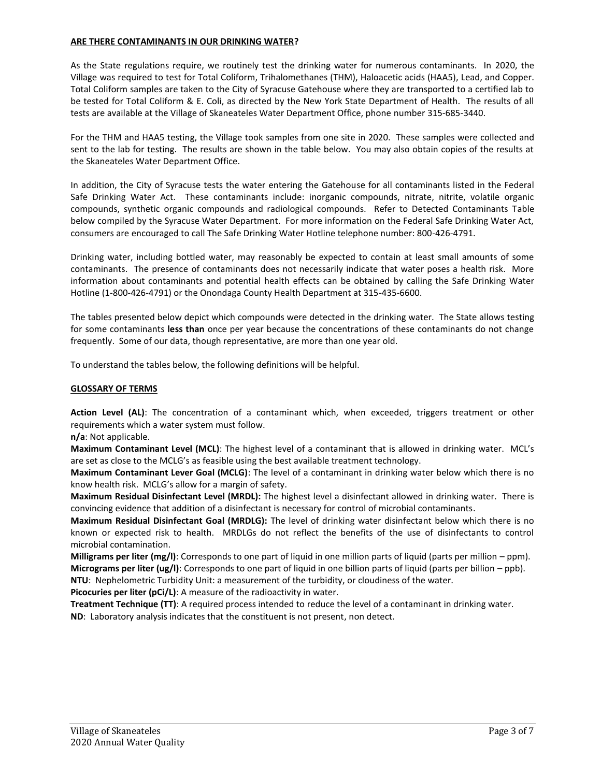### **ARE THERE CONTAMINANTS IN OUR DRINKING WATER?**

As the State regulations require, we routinely test the drinking water for numerous contaminants. In 2020, the Village was required to test for Total Coliform, Trihalomethanes (THM), Haloacetic acids (HAA5), Lead, and Copper. Total Coliform samples are taken to the City of Syracuse Gatehouse where they are transported to a certified lab to be tested for Total Coliform & E. Coli, as directed by the New York State Department of Health. The results of all tests are available at the Village of Skaneateles Water Department Office, phone number 315-685-3440.

For the THM and HAA5 testing, the Village took samples from one site in 2020. These samples were collected and sent to the lab for testing. The results are shown in the table below. You may also obtain copies of the results at the Skaneateles Water Department Office.

In addition, the City of Syracuse tests the water entering the Gatehouse for all contaminants listed in the Federal Safe Drinking Water Act. These contaminants include: inorganic compounds, nitrate, nitrite, volatile organic compounds, synthetic organic compounds and radiological compounds. Refer to Detected Contaminants Table below compiled by the Syracuse Water Department. For more information on the Federal Safe Drinking Water Act, consumers are encouraged to call The Safe Drinking Water Hotline telephone number: 800-426-4791.

Drinking water, including bottled water, may reasonably be expected to contain at least small amounts of some contaminants. The presence of contaminants does not necessarily indicate that water poses a health risk. More information about contaminants and potential health effects can be obtained by calling the Safe Drinking Water Hotline (1-800-426-4791) or the Onondaga County Health Department at 315-435-6600.

The tables presented below depict which compounds were detected in the drinking water. The State allows testing for some contaminants **less than** once per year because the concentrations of these contaminants do not change frequently. Some of our data, though representative, are more than one year old.

To understand the tables below, the following definitions will be helpful.

## **GLOSSARY OF TERMS**

**Action Level (AL)**: The concentration of a contaminant which, when exceeded, triggers treatment or other requirements which a water system must follow.

**n/a**: Not applicable.

**Maximum Contaminant Level (MCL)**: The highest level of a contaminant that is allowed in drinking water. MCL's are set as close to the MCLG's as feasible using the best available treatment technology.

**Maximum Contaminant Lever Goal (MCLG)**: The level of a contaminant in drinking water below which there is no know health risk. MCLG's allow for a margin of safety.

**Maximum Residual Disinfectant Level (MRDL):** The highest level a disinfectant allowed in drinking water. There is convincing evidence that addition of a disinfectant is necessary for control of microbial contaminants.

**Maximum Residual Disinfectant Goal (MRDLG):** The level of drinking water disinfectant below which there is no known or expected risk to health. MRDLGs do not reflect the benefits of the use of disinfectants to control microbial contamination.

**Milligrams per liter (mg/l)**: Corresponds to one part of liquid in one million parts of liquid (parts per million – ppm). **Micrograms per liter (ug/l)**: Corresponds to one part of liquid in one billion parts of liquid (parts per billion – ppb).

**NTU**: Nephelometric Turbidity Unit: a measurement of the turbidity, or cloudiness of the water.

**Picocuries per liter (pCi/L)**: A measure of the radioactivity in water.

**Treatment Technique (TT)**: A required process intended to reduce the level of a contaminant in drinking water. **ND**: Laboratory analysis indicates that the constituent is not present, non detect.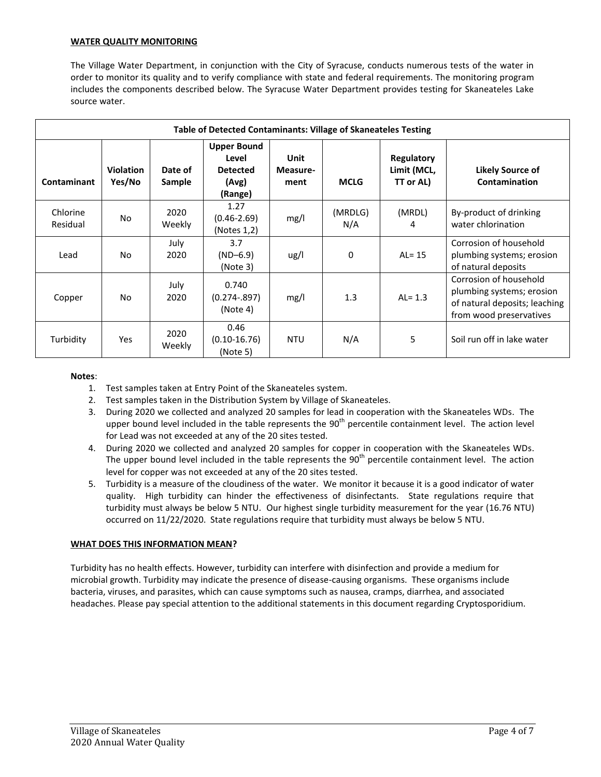## **WATER QUALITY MONITORING**

The Village Water Department, in conjunction with the City of Syracuse, conducts numerous tests of the water in order to monitor its quality and to verify compliance with state and federal requirements. The monitoring program includes the components described below. The Syracuse Water Department provides testing for Skaneateles Lake source water.

| <b>Table of Detected Contaminants: Village of Skaneateles Testing</b> |                            |                   |                                                                    |                          |                |                                        |                                                                                                                 |  |
|-----------------------------------------------------------------------|----------------------------|-------------------|--------------------------------------------------------------------|--------------------------|----------------|----------------------------------------|-----------------------------------------------------------------------------------------------------------------|--|
| Contaminant                                                           | <b>Violation</b><br>Yes/No | Date of<br>Sample | <b>Upper Bound</b><br>Level<br><b>Detected</b><br>(Avg)<br>(Range) | Unit<br>Measure-<br>ment | <b>MCLG</b>    | Regulatory<br>Limit (MCL,<br>TT or AL) | <b>Likely Source of</b><br>Contamination                                                                        |  |
| Chlorine<br>Residual                                                  | No                         | 2020<br>Weekly    | 1.27<br>$(0.46 - 2.69)$<br>(Notes 1,2)                             | mg/l                     | (MRDLG)<br>N/A | (MRDL)<br>4                            | By-product of drinking<br>water chlorination                                                                    |  |
| Lead                                                                  | No                         | July<br>2020      | 3.7<br>$(ND-6.9)$<br>(Note 3)                                      | ug/l                     | 0              | AL= $15$                               | Corrosion of household<br>plumbing systems; erosion<br>of natural deposits                                      |  |
| Copper                                                                | No                         | July<br>2020      | 0.740<br>$(0.274 - .897)$<br>(Note 4)                              | mg/l                     | 1.3            | AL= $1.3$                              | Corrosion of household<br>plumbing systems; erosion<br>of natural deposits; leaching<br>from wood preservatives |  |
| Turbidity                                                             | <b>Yes</b>                 | 2020<br>Weekly    | 0.46<br>$(0.10 - 16.76)$<br>(Note 5)                               | <b>NTU</b>               | N/A            | 5                                      | Soil run off in lake water                                                                                      |  |

#### **Notes**:

- 1. Test samples taken at Entry Point of the Skaneateles system.
- 2. Test samples taken in the Distribution System by Village of Skaneateles.
- 3. During 2020 we collected and analyzed 20 samples for lead in cooperation with the Skaneateles WDs. The upper bound level included in the table represents the  $90<sup>th</sup>$  percentile containment level. The action level for Lead was not exceeded at any of the 20 sites tested.
- 4. During 2020 we collected and analyzed 20 samples for copper in cooperation with the Skaneateles WDs. The upper bound level included in the table represents the  $90<sup>th</sup>$  percentile containment level. The action level for copper was not exceeded at any of the 20 sites tested.
- 5. Turbidity is a measure of the cloudiness of the water. We monitor it because it is a good indicator of water quality. High turbidity can hinder the effectiveness of disinfectants. State regulations require that turbidity must always be below 5 NTU. Our highest single turbidity measurement for the year (16.76 NTU) occurred on 11/22/2020. State regulations require that turbidity must always be below 5 NTU.

#### **WHAT DOES THIS INFORMATION MEAN?**

Turbidity has no health effects. However, turbidity can interfere with disinfection and provide a medium for microbial growth. Turbidity may indicate the presence of disease-causing organisms. These organisms include bacteria, viruses, and parasites, which can cause symptoms such as nausea, cramps, diarrhea, and associated headaches. Please pay special attention to the additional statements in this document regarding Cryptosporidium.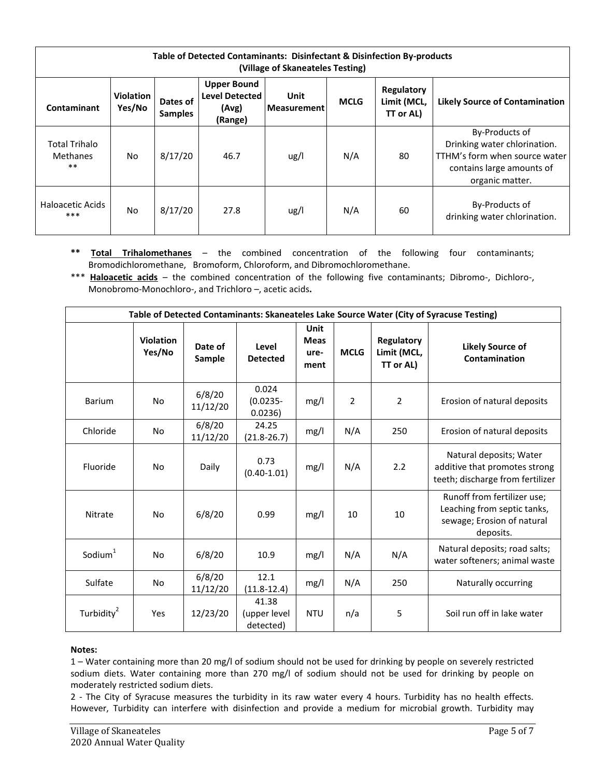| Table of Detected Contaminants: Disinfectant & Disinfection By-products<br>(Village of Skaneateles Testing) |                            |                            |                                                                 |                            |             |                                        |                                                                                                                                 |
|-------------------------------------------------------------------------------------------------------------|----------------------------|----------------------------|-----------------------------------------------------------------|----------------------------|-------------|----------------------------------------|---------------------------------------------------------------------------------------------------------------------------------|
| Contaminant                                                                                                 | <b>Violation</b><br>Yes/No | Dates of<br><b>Samples</b> | <b>Upper Bound</b><br><b>Level Detected</b><br>(Avg)<br>(Range) | Unit<br><b>Measurement</b> | <b>MCLG</b> | Regulatory<br>Limit (MCL,<br>TT or AL) | <b>Likely Source of Contamination</b>                                                                                           |
| <b>Total Trihalo</b><br><b>Methanes</b><br>$***$                                                            | <b>No</b>                  | 8/17/20                    | 46.7                                                            | ug/l                       | N/A         | 80                                     | By-Products of<br>Drinking water chlorination.<br>TTHM's form when source water<br>contains large amounts of<br>organic matter. |
| Haloacetic Acids<br>***                                                                                     | <b>No</b>                  | 8/17/20                    | 27.8                                                            | ug/l                       | N/A         | 60                                     | By-Products of<br>drinking water chlorination.                                                                                  |

- **\*\* Total Trihalomethanes** the combined concentration of the following four contaminants; Bromodichloromethane, Bromoform, Chloroform, and Dibromochloromethane.
- \*\*\* **Haloacetic acids** the combined concentration of the following five contaminants; Dibromo-, Dichloro-, Monobromo-Monochloro-, and Trichloro –, acetic acids**.**

| Table of Detected Contaminants: Skaneateles Lake Source Water (City of Syracuse Testing) |                            |                    |                                    |                                     |             |                                               |                                                                                                       |  |
|------------------------------------------------------------------------------------------|----------------------------|--------------------|------------------------------------|-------------------------------------|-------------|-----------------------------------------------|-------------------------------------------------------------------------------------------------------|--|
|                                                                                          | <b>Violation</b><br>Yes/No | Date of<br>Sample  | Level<br><b>Detected</b>           | Unit<br><b>Meas</b><br>ure-<br>ment | <b>MCLG</b> | <b>Regulatory</b><br>Limit (MCL,<br>TT or AL) | <b>Likely Source of</b><br>Contamination                                                              |  |
| <b>Barium</b>                                                                            | No                         | 6/8/20<br>11/12/20 | 0.024<br>$(0.0235 -$<br>0.0236)    | mg/l                                | 2           | 2                                             | Erosion of natural deposits                                                                           |  |
| Chloride                                                                                 | No                         | 6/8/20<br>11/12/20 | 24.25<br>$(21.8 - 26.7)$           | mg/l                                | N/A         | 250                                           | Erosion of natural deposits                                                                           |  |
| Fluoride                                                                                 | No                         | Daily              | 0.73<br>$(0.40 - 1.01)$            | mg/l                                | N/A         | 2.2                                           | Natural deposits; Water<br>additive that promotes strong<br>teeth; discharge from fertilizer          |  |
| Nitrate                                                                                  | No                         | 6/8/20             | 0.99                               | mg/l                                | 10          | 10                                            | Runoff from fertilizer use;<br>Leaching from septic tanks,<br>sewage; Erosion of natural<br>deposits. |  |
| Sodium $1$                                                                               | No                         | 6/8/20             | 10.9                               | mg/l                                | N/A         | N/A                                           | Natural deposits; road salts;<br>water softeners; animal waste                                        |  |
| Sulfate                                                                                  | No                         | 6/8/20<br>11/12/20 | 12.1<br>$(11.8-12.4)$              | mg/l                                | N/A         | 250                                           | Naturally occurring                                                                                   |  |
| Turbidity <sup>2</sup>                                                                   | Yes                        | 12/23/20           | 41.38<br>(upper level<br>detected) | <b>NTU</b>                          | n/a         | 5                                             | Soil run off in lake water                                                                            |  |

## **Notes:**

1 – Water containing more than 20 mg/l of sodium should not be used for drinking by people on severely restricted sodium diets. Water containing more than 270 mg/l of sodium should not be used for drinking by people on moderately restricted sodium diets.

2 - The City of Syracuse measures the turbidity in its raw water every 4 hours. Turbidity has no health effects. However, Turbidity can interfere with disinfection and provide a medium for microbial growth. Turbidity may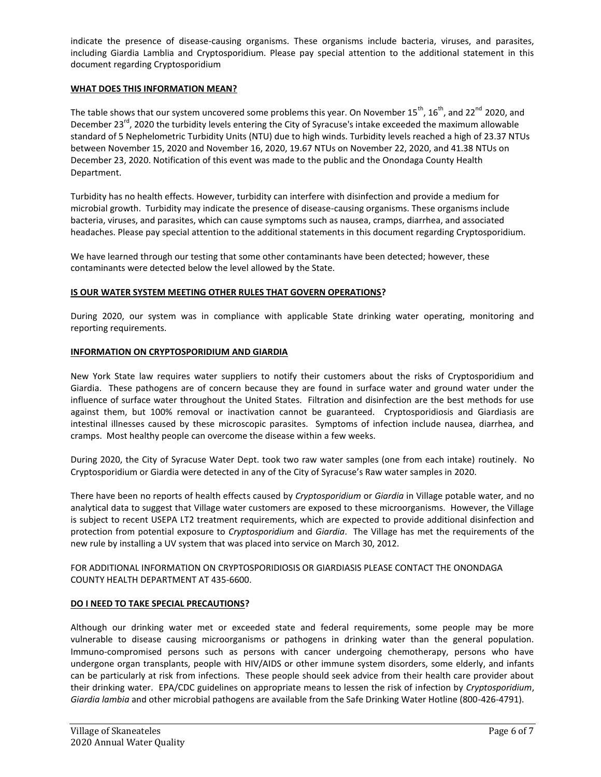indicate the presence of disease-causing organisms. These organisms include bacteria, viruses, and parasites, including Giardia Lamblia and Cryptosporidium. Please pay special attention to the additional statement in this document regarding Cryptosporidium

## **WHAT DOES THIS INFORMATION MEAN?**

The table shows that our system uncovered some problems this year. On November 15<sup>th</sup>, 16<sup>th</sup>, and 22<sup>nd</sup> 2020, and December 23<sup>rd</sup>, 2020 the turbidity levels entering the City of Syracuse's intake exceeded the maximum allowable standard of 5 Nephelometric Turbidity Units (NTU) due to high winds. Turbidity levels reached a high of 23.37 NTUs between November 15, 2020 and November 16, 2020, 19.67 NTUs on November 22, 2020, and 41.38 NTUs on December 23, 2020. Notification of this event was made to the public and the Onondaga County Health Department.

Turbidity has no health effects. However, turbidity can interfere with disinfection and provide a medium for microbial growth. Turbidity may indicate the presence of disease-causing organisms. These organisms include bacteria, viruses, and parasites, which can cause symptoms such as nausea, cramps, diarrhea, and associated headaches. Please pay special attention to the additional statements in this document regarding Cryptosporidium.

We have learned through our testing that some other contaminants have been detected; however, these contaminants were detected below the level allowed by the State.

# **IS OUR WATER SYSTEM MEETING OTHER RULES THAT GOVERN OPERATIONS?**

During 2020, our system was in compliance with applicable State drinking water operating, monitoring and reporting requirements.

## **INFORMATION ON CRYPTOSPORIDIUM AND GIARDIA**

New York State law requires water suppliers to notify their customers about the risks of Cryptosporidium and Giardia. These pathogens are of concern because they are found in surface water and ground water under the influence of surface water throughout the United States. Filtration and disinfection are the best methods for use against them, but 100% removal or inactivation cannot be guaranteed. Cryptosporidiosis and Giardiasis are intestinal illnesses caused by these microscopic parasites. Symptoms of infection include nausea, diarrhea, and cramps. Most healthy people can overcome the disease within a few weeks.

During 2020, the City of Syracuse Water Dept. took two raw water samples (one from each intake) routinely. No Cryptosporidium or Giardia were detected in any of the City of Syracuse's Raw water samples in 2020.

There have been no reports of health effects caused by *Cryptosporidium* or *Giardia* in Village potable water*,* and no analytical data to suggest that Village water customers are exposed to these microorganisms. However, the Village is subject to recent USEPA LT2 treatment requirements, which are expected to provide additional disinfection and protection from potential exposure to *Cryptosporidium* and *Giardia*. The Village has met the requirements of the new rule by installing a UV system that was placed into service on March 30, 2012.

FOR ADDITIONAL INFORMATION ON CRYPTOSPORIDIOSIS OR GIARDIASIS PLEASE CONTACT THE ONONDAGA COUNTY HEALTH DEPARTMENT AT 435-6600.

## **DO I NEED TO TAKE SPECIAL PRECAUTIONS?**

Although our drinking water met or exceeded state and federal requirements, some people may be more vulnerable to disease causing microorganisms or pathogens in drinking water than the general population. Immuno-compromised persons such as persons with cancer undergoing chemotherapy, persons who have undergone organ transplants, people with HIV/AIDS or other immune system disorders, some elderly, and infants can be particularly at risk from infections. These people should seek advice from their health care provider about their drinking water. EPA/CDC guidelines on appropriate means to lessen the risk of infection by *Cryptosporidium*, *Giardia lambia* and other microbial pathogens are available from the Safe Drinking Water Hotline (800-426-4791).